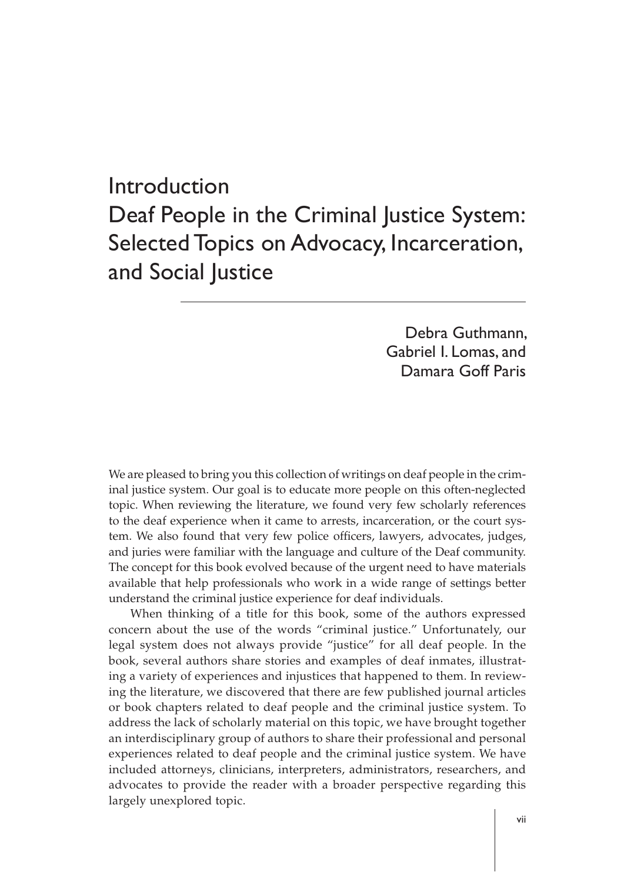# Introduction Deaf People in the Criminal Justice System: Selected Topics on Advocacy, Incarceration, and Social Justice

Debra Guthmann, Gabriel I. Lomas, and Damara Goff Paris

We are pleased to bring you this collection of writings on deaf people in the criminal justice system. Our goal is to educate more people on this often-neglected topic. When reviewing the literature, we found very few scholarly references to the deaf experience when it came to arrests, incarceration, or the court system. We also found that very few police officers, lawyers, advocates, judges, and juries were familiar with the language and culture of the Deaf community. The concept for this book evolved because of the urgent need to have materials available that help professionals who work in a wide range of settings better understand the criminal justice experience for deaf individuals.

When thinking of a title for this book, some of the authors expressed concern about the use of the words "criminal justice." Unfortunately, our legal system does not always provide "justice" for all deaf people. In the book, several authors share stories and examples of deaf inmates, illustrating a variety of experiences and injustices that happened to them. In reviewing the literature, we discovered that there are few published journal articles or book chapters related to deaf people and the criminal justice system. To address the lack of scholarly material on this topic, we have brought together an interdisciplinary group of authors to share their professional and personal experiences related to deaf people and the criminal justice system. We have included attorneys, clinicians, interpreters, administrators, researchers, and advocates to provide the reader with a broader perspective regarding this largely unexplored topic.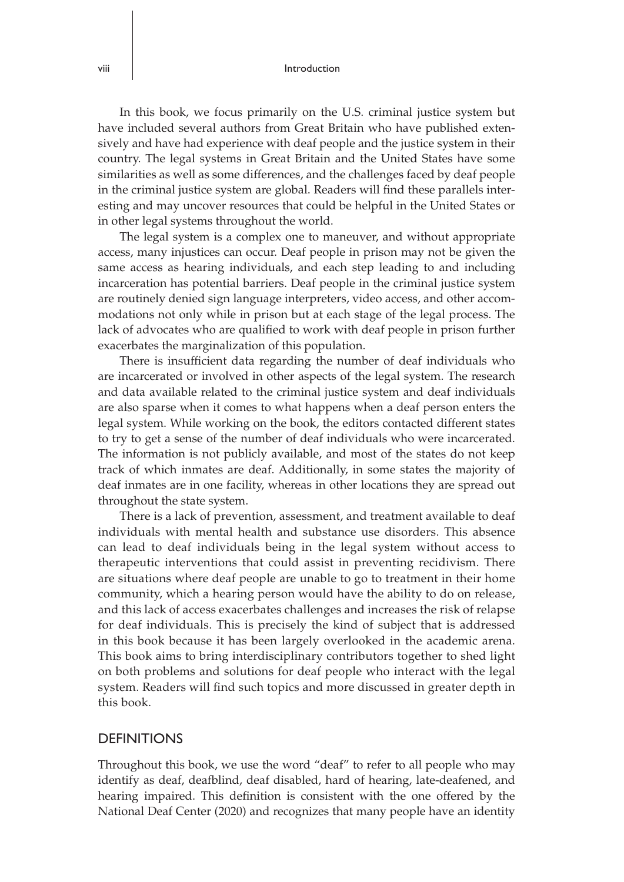#### viii  $\vert$

In this book, we focus primarily on the U.S. criminal justice system but have included several authors from Great Britain who have published extensively and have had experience with deaf people and the justice system in their country. The legal systems in Great Britain and the United States have some similarities as well as some differences, and the challenges faced by deaf people in the criminal justice system are global. Readers will find these parallels interesting and may uncover resources that could be helpful in the United States or in other legal systems throughout the world.

The legal system is a complex one to maneuver, and without appropriate access, many injustices can occur. Deaf people in prison may not be given the same access as hearing individuals, and each step leading to and including incarceration has potential barriers. Deaf people in the criminal justice system are routinely denied sign language interpreters, video access, and other accommodations not only while in prison but at each stage of the legal process. The lack of advocates who are qualified to work with deaf people in prison further exacerbates the marginalization of this population.

There is insufficient data regarding the number of deaf individuals who are incarcerated or involved in other aspects of the legal system. The research and data available related to the criminal justice system and deaf individuals are also sparse when it comes to what happens when a deaf person enters the legal system. While working on the book, the editors contacted different states to try to get a sense of the number of deaf individuals who were incarcerated. The information is not publicly available, and most of the states do not keep track of which inmates are deaf. Additionally, in some states the majority of deaf inmates are in one facility, whereas in other locations they are spread out throughout the state system.

There is a lack of prevention, assessment, and treatment available to deaf individuals with mental health and substance use disorders. This absence can lead to deaf individuals being in the legal system without access to therapeutic interventions that could assist in preventing recidivism. There are situations where deaf people are unable to go to treatment in their home community, which a hearing person would have the ability to do on release, and this lack of access exacerbates challenges and increases the risk of relapse for deaf individuals. This is precisely the kind of subject that is addressed in this book because it has been largely overlooked in the academic arena. This book aims to bring interdisciplinary contributors together to shed light on both problems and solutions for deaf people who interact with the legal system. Readers will find such topics and more discussed in greater depth in this book.

## **DEFINITIONS**

Throughout this book, we use the word "deaf" to refer to all people who may identify as deaf, deafblind, deaf disabled, hard of hearing, late-deafened, and hearing impaired. This definition is consistent with the one offered by the National Deaf Center (2020) and recognizes that many people have an identity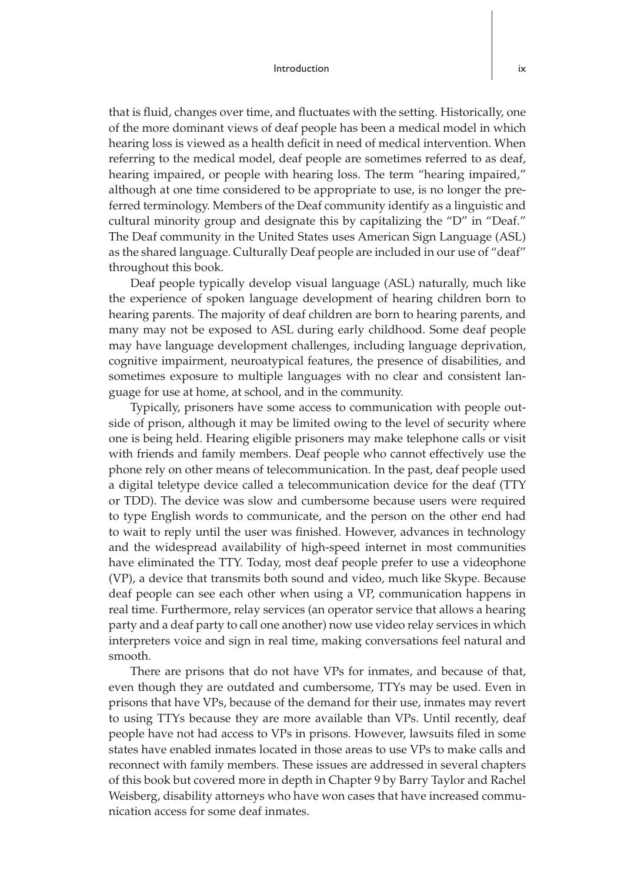#### Introduction ix

that is fluid, changes over time, and fluctuates with the setting. Historically, one of the more dominant views of deaf people has been a medical model in which hearing loss is viewed as a health deficit in need of medical intervention. When referring to the medical model, deaf people are sometimes referred to as deaf, hearing impaired, or people with hearing loss. The term "hearing impaired," although at one time considered to be appropriate to use, is no longer the preferred terminology. Members of the Deaf community identify as a linguistic and cultural minority group and designate this by capitalizing the "D" in "Deaf." The Deaf community in the United States uses American Sign Language (ASL) as the shared language. Culturally Deaf people are included in our use of "deaf" throughout this book.

Deaf people typically develop visual language (ASL) naturally, much like the experience of spoken language development of hearing children born to hearing parents. The majority of deaf children are born to hearing parents, and many may not be exposed to ASL during early childhood. Some deaf people may have language development challenges, including language deprivation, cognitive impairment, neuroatypical features, the presence of disabilities, and sometimes exposure to multiple languages with no clear and consistent language for use at home, at school, and in the community.

Typically, prisoners have some access to communication with people outside of prison, although it may be limited owing to the level of security where one is being held. Hearing eligible prisoners may make telephone calls or visit with friends and family members. Deaf people who cannot effectively use the phone rely on other means of telecommunication. In the past, deaf people used a digital teletype device called a telecommunication device for the deaf (TTY or TDD). The device was slow and cumbersome because users were required to type English words to communicate, and the person on the other end had to wait to reply until the user was finished. However, advances in technology and the widespread availability of high-speed internet in most communities have eliminated the TTY. Today, most deaf people prefer to use a videophone (VP), a device that transmits both sound and video, much like Skype. Because deaf people can see each other when using a VP, communication happens in real time. Furthermore, relay services (an operator service that allows a hearing party and a deaf party to call one another) now use video relay services in which interpreters voice and sign in real time, making conversations feel natural and smooth.

There are prisons that do not have VPs for inmates, and because of that, even though they are outdated and cumbersome, TTYs may be used. Even in prisons that have VPs, because of the demand for their use, inmates may revert to using TTYs because they are more available than VPs. Until recently, deaf people have not had access to VPs in prisons. However, lawsuits filed in some states have enabled inmates located in those areas to use VPs to make calls and reconnect with family members. These issues are addressed in several chapters of this book but covered more in depth in Chapter 9 by Barry Taylor and Rachel Weisberg, disability attorneys who have won cases that have increased communication access for some deaf inmates.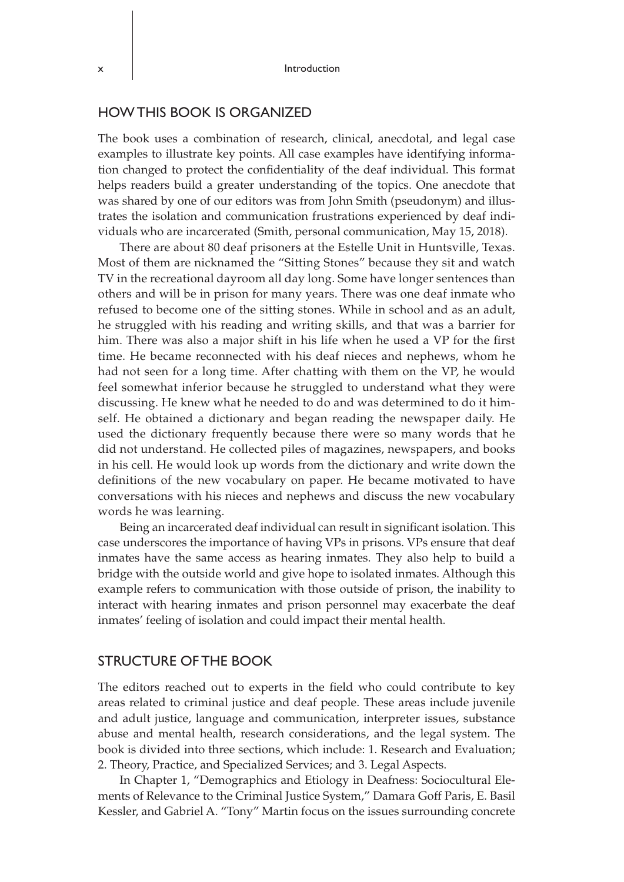## HOW THIS BOOK IS ORGANIZED

The book uses a combination of research, clinical, anecdotal, and legal case examples to illustrate key points. All case examples have identifying information changed to protect the confidentiality of the deaf individual. This format helps readers build a greater understanding of the topics. One anecdote that was shared by one of our editors was from John Smith (pseudonym) and illustrates the isolation and communication frustrations experienced by deaf individuals who are incarcerated (Smith, personal communication, May 15, 2018).

There are about 80 deaf prisoners at the Estelle Unit in Huntsville, Texas. Most of them are nicknamed the "Sitting Stones" because they sit and watch TV in the recreational dayroom all day long. Some have longer sentences than others and will be in prison for many years. There was one deaf inmate who refused to become one of the sitting stones. While in school and as an adult, he struggled with his reading and writing skills, and that was a barrier for him. There was also a major shift in his life when he used a VP for the first time. He became reconnected with his deaf nieces and nephews, whom he had not seen for a long time. After chatting with them on the VP, he would feel somewhat inferior because he struggled to understand what they were discussing. He knew what he needed to do and was determined to do it himself. He obtained a dictionary and began reading the newspaper daily. He used the dictionary frequently because there were so many words that he did not understand. He collected piles of magazines, newspapers, and books in his cell. He would look up words from the dictionary and write down the definitions of the new vocabulary on paper. He became motivated to have conversations with his nieces and nephews and discuss the new vocabulary words he was learning.

Being an incarcerated deaf individual can result in significant isolation. This case underscores the importance of having VPs in prisons. VPs ensure that deaf inmates have the same access as hearing inmates. They also help to build a bridge with the outside world and give hope to isolated inmates. Although this example refers to communication with those outside of prison, the inability to interact with hearing inmates and prison personnel may exacerbate the deaf inmates' feeling of isolation and could impact their mental health.

#### STRUCTURE OF THE BOOK

The editors reached out to experts in the field who could contribute to key areas related to criminal justice and deaf people. These areas include juvenile and adult justice, language and communication, interpreter issues, substance abuse and mental health, research considerations, and the legal system. The book is divided into three sections, which include: 1. Research and Evaluation; 2. Theory, Practice, and Specialized Services; and 3. Legal Aspects.

In Chapter 1, "Demographics and Etiology in Deafness: Sociocultural Elements of Relevance to the Criminal Justice System," Damara Goff Paris, E. Basil Kessler, and Gabriel A. "Tony" Martin focus on the issues surrounding concrete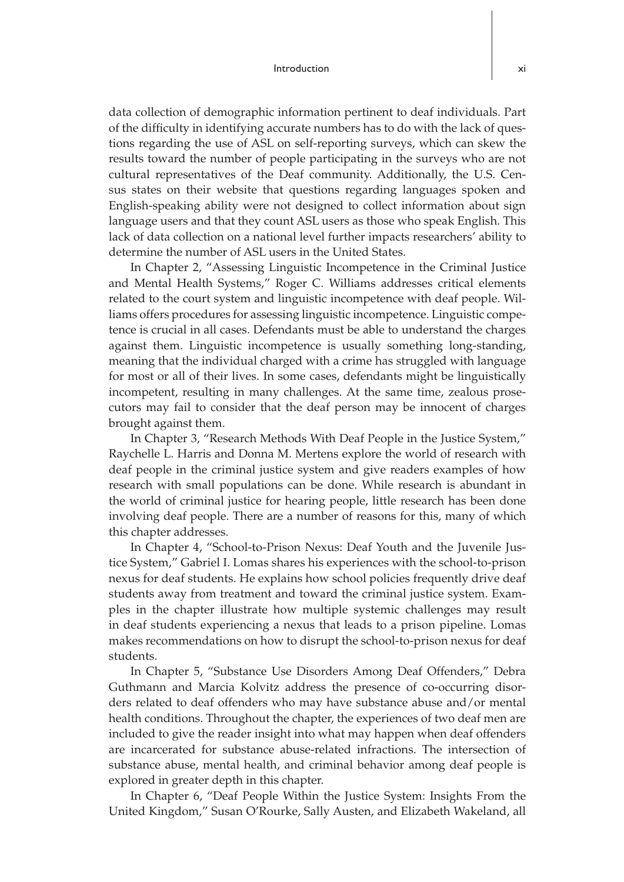data collection of demographic information pertinent to deaf individuals. Part of the difficulty in identifying accurate numbers has to do with the lack of questions regarding the use of ASL on self-reporting surveys, which can skew the results toward the number of people participating in the surveys who are not cultural representatives of the Deaf community. Additionally, the U.S. Census states on their website that questions regarding languages spoken and English-speaking ability were not designed to collect information about sign language users and that they count ASL users as those who speak English. This lack of data collection on a national level further impacts researchers' ability to determine the number of ASL users in the United States.

In Chapter 2, "Assessing Linguistic Incompetence in the Criminal Justice and Mental Health Systems," Roger C. Williams addresses critical elements related to the court system and linguistic incompetence with deaf people. Williams offers procedures for assessing linguistic incompetence. Linguistic competence is crucial in all cases. Defendants must be able to understand the charges against them. Linguistic incompetence is usually something long-standing, meaning that the individual charged with a crime has struggled with language for most or all of their lives. In some cases, defendants might be linguistically incompetent, resulting in many challenges. At the same time, zealous prosecutors may fail to consider that the deaf person may be innocent of charges brought against them.

In Chapter 3, "Research Methods With Deaf People in the Justice System," Raychelle L. Harris and Donna M. Mertens explore the world of research with deaf people in the criminal justice system and give readers examples of how research with small populations can be done. While research is abundant in the world of criminal justice for hearing people, little research has been done involving deaf people. There are a number of reasons for this, many of which this chapter addresses.

In Chapter 4, "School-to-Prison Nexus: Deaf Youth and the Juvenile Justice System," Gabriel I. Lomas shares his experiences with the school-to-prison nexus for deaf students. He explains how school policies frequently drive deaf students away from treatment and toward the criminal justice system. Examples in the chapter illustrate how multiple systemic challenges may result in deaf students experiencing a nexus that leads to a prison pipeline. Lomas makes recommendations on how to disrupt the school-to-prison nexus for deaf students.

In Chapter 5, "Substance Use Disorders Among Deaf Offenders," Debra Guthmann and Marcia Kolvitz address the presence of co-occurring disorders related to deaf offenders who may have substance abuse and/or mental health conditions. Throughout the chapter, the experiences of two deaf men are included to give the reader insight into what may happen when deaf offenders are incarcerated for substance abuse-related infractions. The intersection of substance abuse, mental health, and criminal behavior among deaf people is explored in greater depth in this chapter.

In Chapter 6, "Deaf People Within the Justice System: Insights From the United Kingdom," Susan O'Rourke, Sally Austen, and Elizabeth Wakeland, all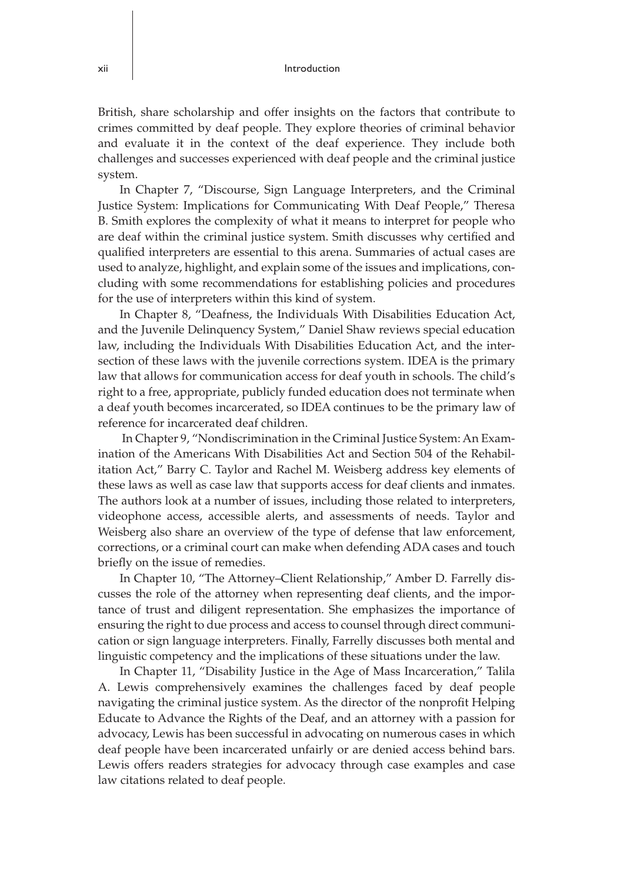British, share scholarship and offer insights on the factors that contribute to crimes committed by deaf people. They explore theories of criminal behavior and evaluate it in the context of the deaf experience. They include both challenges and successes experienced with deaf people and the criminal justice system.

In Chapter 7, "Discourse, Sign Language Interpreters, and the Criminal Justice System: Implications for Communicating With Deaf People," Theresa B. Smith explores the complexity of what it means to interpret for people who are deaf within the criminal justice system. Smith discusses why certified and qualified interpreters are essential to this arena. Summaries of actual cases are used to analyze, highlight, and explain some of the issues and implications, concluding with some recommendations for establishing policies and procedures for the use of interpreters within this kind of system.

In Chapter 8, "Deafness, the Individuals With Disabilities Education Act, and the Juvenile Delinquency System," Daniel Shaw reviews special education law, including the Individuals With Disabilities Education Act, and the intersection of these laws with the juvenile corrections system. IDEA is the primary law that allows for communication access for deaf youth in schools. The child's right to a free, appropriate, publicly funded education does not terminate when a deaf youth becomes incarcerated, so IDEA continues to be the primary law of reference for incarcerated deaf children.

 In Chapter 9, "Nondiscrimination in the Criminal Justice System: An Examination of the Americans With Disabilities Act and Section 504 of the Rehabilitation Act," Barry C. Taylor and Rachel M. Weisberg address key elements of these laws as well as case law that supports access for deaf clients and inmates. The authors look at a number of issues, including those related to interpreters, videophone access, accessible alerts, and assessments of needs. Taylor and Weisberg also share an overview of the type of defense that law enforcement, corrections, or a criminal court can make when defending ADA cases and touch briefly on the issue of remedies.

In Chapter 10, "The Attorney–Client Relationship," Amber D. Farrelly discusses the role of the attorney when representing deaf clients, and the importance of trust and diligent representation. She emphasizes the importance of ensuring the right to due process and access to counsel through direct communication or sign language interpreters. Finally, Farrelly discusses both mental and linguistic competency and the implications of these situations under the law.

In Chapter 11, "Disability Justice in the Age of Mass Incarceration," Talila A. Lewis comprehensively examines the challenges faced by deaf people navigating the criminal justice system. As the director of the nonprofit Helping Educate to Advance the Rights of the Deaf, and an attorney with a passion for advocacy, Lewis has been successful in advocating on numerous cases in which deaf people have been incarcerated unfairly or are denied access behind bars. Lewis offers readers strategies for advocacy through case examples and case law citations related to deaf people.